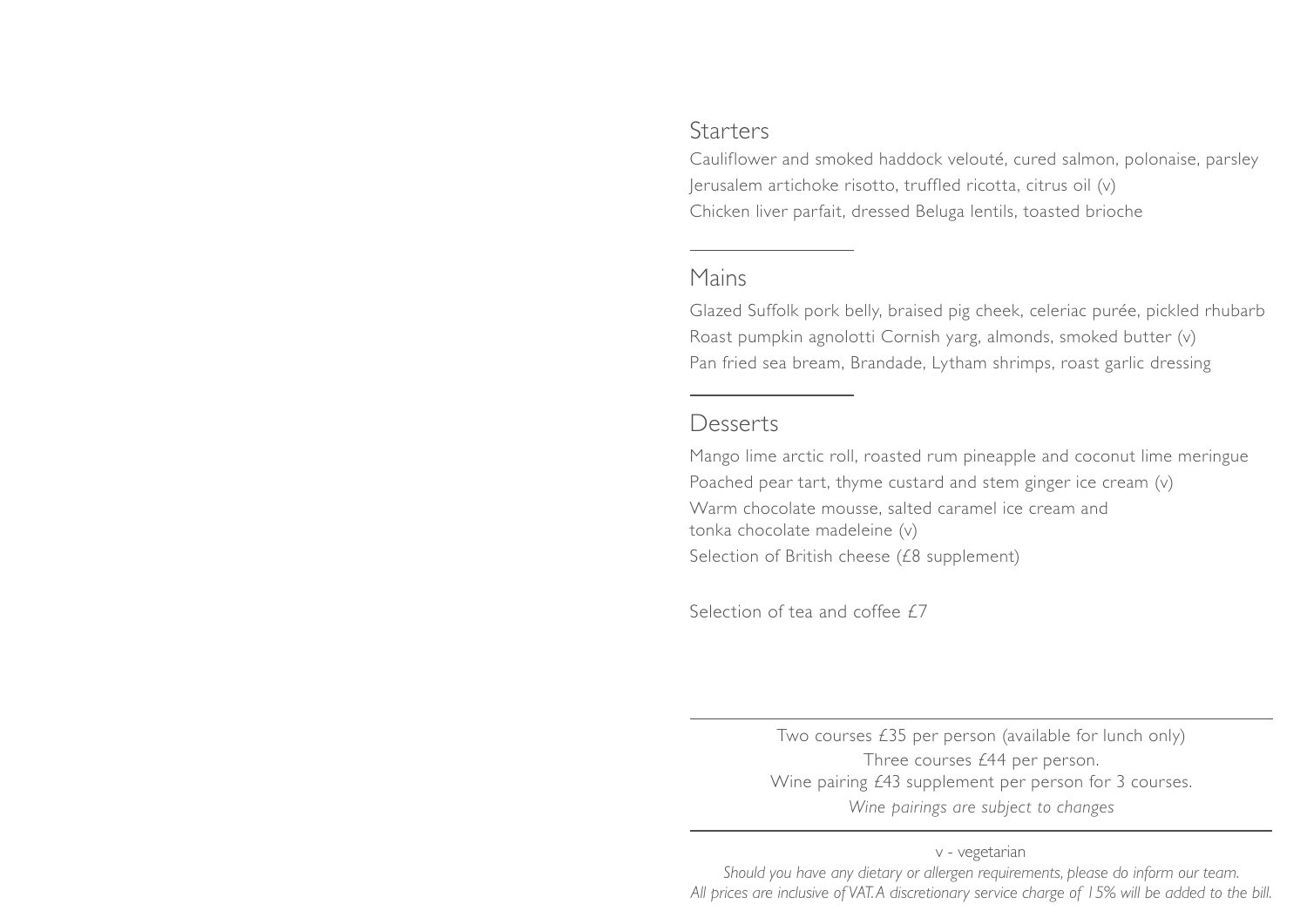## Starters

Cauliflower and smoked haddock velouté, cured salmon, polonaise, parsley Jerusalem artichoke risotto, truffled ricotta, citrus oil (v) Chicken liver parfait, dressed Beluga lentils, toasted brioche

## Mains

Glazed Suffolk pork belly, braised pig cheek, celeriac purée, pickled rhubarb Roast pumpkin agnolotti Cornish yarg, almonds, smoked butter (v) Pan fried sea bream, Brandade, Lytham shrimps, roast garlic dressing

## Desserts

Mango lime arctic roll, roasted rum pineapple and coconut lime meringue Poached pear tart, thyme custard and stem ginger ice cream (v) Warm chocolate mousse, salted caramel ice cream and tonka chocolate madeleine (v) Selection of British cheese (£8 supplement)

Selection of tea and coffee £7

Two courses £35 per person (available for lunch only) Three courses £44 per person. Wine pairing £43 supplement per person for 3 courses. *Wine pairings are subject to changes*

v - vegetarian *Should you have any dietary or allergen requirements, please do inform our team. All prices are inclusive of VAT. A discretionary service charge of 15% will be added to the bill.*